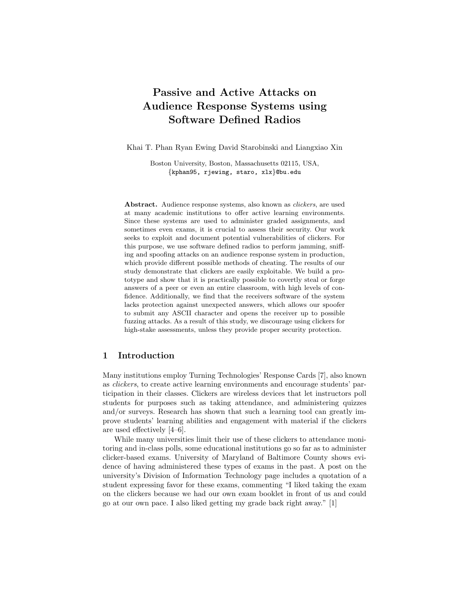# Passive and Active Attacks on Audience Response Systems using Software Defined Radios

Khai T. Phan Ryan Ewing David Starobinski and Liangxiao Xin

Boston University, Boston, Massachusetts 02115, USA, {kphan95, rjewing, staro, xlx}@bu.edu

Abstract. Audience response systems, also known as *clickers*, are used at many academic institutions to offer active learning environments. Since these systems are used to administer graded assignments, and sometimes even exams, it is crucial to assess their security. Our work seeks to exploit and document potential vulnerabilities of clickers. For this purpose, we use software defined radios to perform jamming, sniffing and spoofing attacks on an audience response system in production, which provide different possible methods of cheating. The results of our study demonstrate that clickers are easily exploitable. We build a prototype and show that it is practically possible to covertly steal or forge answers of a peer or even an entire classroom, with high levels of confidence. Additionally, we find that the receivers software of the system lacks protection against unexpected answers, which allows our spoofer to submit any ASCII character and opens the receiver up to possible fuzzing attacks. As a result of this study, we discourage using clickers for high-stake assessments, unless they provide proper security protection.

### 1 Introduction

Many institutions employ Turning Technologies' Response Cards [7], also known as clickers, to create active learning environments and encourage students' participation in their classes. Clickers are wireless devices that let instructors poll students for purposes such as taking attendance, and administering quizzes and/or surveys. Research has shown that such a learning tool can greatly improve students' learning abilities and engagement with material if the clickers are used effectively [4–6].

While many universities limit their use of these clickers to attendance monitoring and in-class polls, some educational institutions go so far as to administer clicker-based exams. University of Maryland of Baltimore County shows evidence of having administered these types of exams in the past. A post on the university's Division of Information Technology page includes a quotation of a student expressing favor for these exams, commenting "I liked taking the exam on the clickers because we had our own exam booklet in front of us and could go at our own pace. I also liked getting my grade back right away." [1]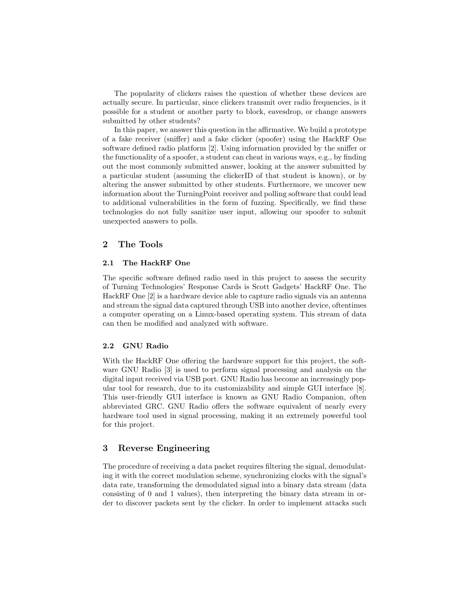The popularity of clickers raises the question of whether these devices are actually secure. In particular, since clickers transmit over radio frequencies, is it possible for a student or another party to block, eavesdrop, or change answers submitted by other students?

In this paper, we answer this question in the affirmative. We build a prototype of a fake receiver (sniffer) and a fake clicker (spoofer) using the HackRF One software defined radio platform [2]. Using information provided by the sniffer or the functionality of a spoofer, a student can cheat in various ways, e.g., by finding out the most commonly submitted answer, looking at the answer submitted by a particular student (assuming the clickerID of that student is known), or by altering the answer submitted by other students. Furthermore, we uncover new information about the TurningPoint receiver and polling software that could lead to additional vulnerabilities in the form of fuzzing. Specifically, we find these technologies do not fully sanitize user input, allowing our spoofer to submit unexpected answers to polls.

## 2 The Tools

#### 2.1 The HackRF One

The specific software defined radio used in this project to assess the security of Turning Technologies' Response Cards is Scott Gadgets' HackRF One. The HackRF One [2] is a hardware device able to capture radio signals via an antenna and stream the signal data captured through USB into another device, oftentimes a computer operating on a Linux-based operating system. This stream of data can then be modified and analyzed with software.

#### 2.2 GNU Radio

With the HackRF One offering the hardware support for this project, the software GNU Radio [3] is used to perform signal processing and analysis on the digital input received via USB port. GNU Radio has become an increasingly popular tool for research, due to its customizability and simple GUI interface [8]. This user-friendly GUI interface is known as GNU Radio Companion, often abbreviated GRC. GNU Radio offers the software equivalent of nearly every hardware tool used in signal processing, making it an extremely powerful tool for this project.

## 3 Reverse Engineering

The procedure of receiving a data packet requires filtering the signal, demodulating it with the correct modulation scheme, synchronizing clocks with the signal's data rate, transforming the demodulated signal into a binary data stream (data consisting of 0 and 1 values), then interpreting the binary data stream in order to discover packets sent by the clicker. In order to implement attacks such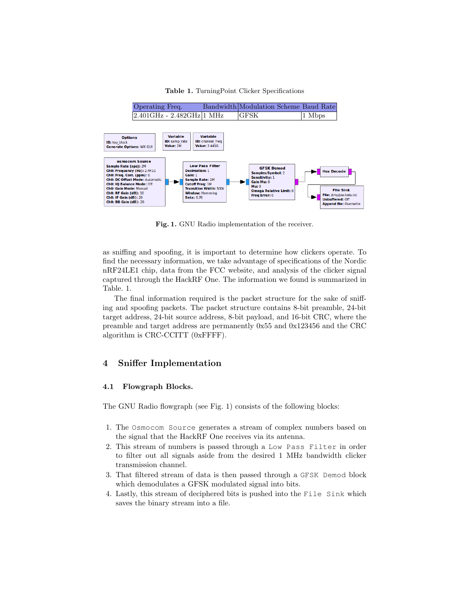#### Table 1. TurningPoint Clicker Specifications



Fig. 1. GNU Radio implementation of the receiver.

as sniffing and spoofing, it is important to determine how clickers operate. To find the necessary information, we take advantage of specifications of the Nordic nRF24LE1 chip, data from the FCC website, and analysis of the clicker signal captured through the HackRF One. The information we found is summarized in Table. 1.

The final information required is the packet structure for the sake of sniffing and spoofing packets. The packet structure contains 8-bit preamble, 24-bit target address, 24-bit source address, 8-bit payload, and 16-bit CRC, where the preamble and target address are permanently 0x55 and 0x123456 and the CRC algorithm is CRC-CCITT (0xFFFF).

## 4 Sniffer Implementation

#### 4.1 Flowgraph Blocks.

The GNU Radio flowgraph (see Fig. 1) consists of the following blocks:

- 1. The Osmocom Source generates a stream of complex numbers based on the signal that the HackRF One receives via its antenna.
- 2. This stream of numbers is passed through a Low Pass Filter in order to filter out all signals aside from the desired 1 MHz bandwidth clicker transmission channel.
- 3. That filtered stream of data is then passed through a GFSK Demod block which demodulates a GFSK modulated signal into bits.
- 4. Lastly, this stream of deciphered bits is pushed into the File Sink which saves the binary stream into a file.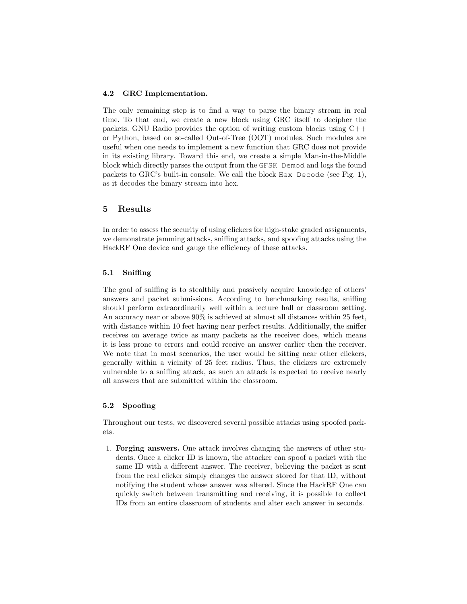#### 4.2 GRC Implementation.

The only remaining step is to find a way to parse the binary stream in real time. To that end, we create a new block using GRC itself to decipher the packets. GNU Radio provides the option of writing custom blocks using  $C++$ or Python, based on so-called Out-of-Tree (OOT) modules. Such modules are useful when one needs to implement a new function that GRC does not provide in its existing library. Toward this end, we create a simple Man-in-the-Middle block which directly parses the output from the GFSK Demod and logs the found packets to GRC's built-in console. We call the block Hex Decode (see Fig. 1), as it decodes the binary stream into hex.

## 5 Results

In order to assess the security of using clickers for high-stake graded assignments, we demonstrate jamming attacks, sniffing attacks, and spoofing attacks using the HackRF One device and gauge the efficiency of these attacks.

### 5.1 Sniffing

The goal of sniffing is to stealthily and passively acquire knowledge of others' answers and packet submissions. According to benchmarking results, sniffing should perform extraordinarily well within a lecture hall or classroom setting. An accuracy near or above 90% is achieved at almost all distances within 25 feet, with distance within 10 feet having near perfect results. Additionally, the sniffer receives on average twice as many packets as the receiver does, which means it is less prone to errors and could receive an answer earlier then the receiver. We note that in most scenarios, the user would be sitting near other clickers, generally within a vicinity of 25 feet radius. Thus, the clickers are extremely vulnerable to a sniffing attack, as such an attack is expected to receive nearly all answers that are submitted within the classroom.

#### 5.2 Spoofing

Throughout our tests, we discovered several possible attacks using spoofed packets.

1. Forging answers. One attack involves changing the answers of other students. Once a clicker ID is known, the attacker can spoof a packet with the same ID with a different answer. The receiver, believing the packet is sent from the real clicker simply changes the answer stored for that ID, without notifying the student whose answer was altered. Since the HackRF One can quickly switch between transmitting and receiving, it is possible to collect IDs from an entire classroom of students and alter each answer in seconds.